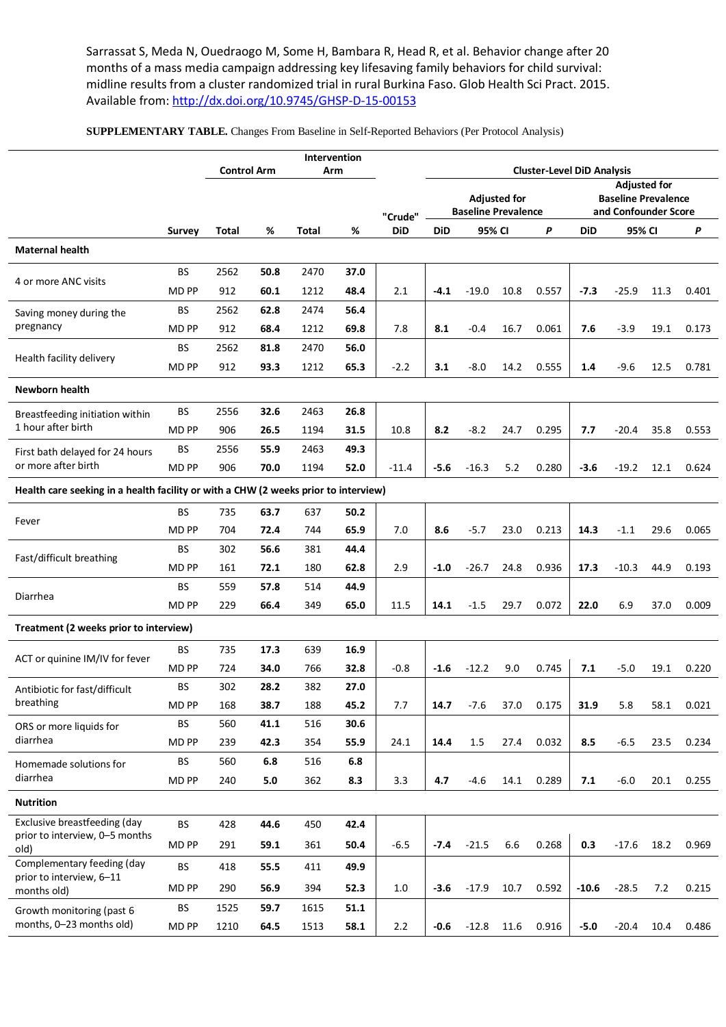Sarrassat S, Meda N, Ouedraogo M, Some H, Bambara R, Head R, et al. Behavior change after 20 months of a mass media campaign addressing key lifesaving family behaviors for child survival: midline results from a cluster randomized trial in rural Burkina Faso. Glob Health Sci Pract. 2015. Available from[: http://dx.doi.org/10.9745/GHSP-D-15-00153](http://dx.doi.org/10.9745/GHSP-D-15-00153)

**SUPPLEMENTARY TABLE.** Changes From Baseline in Self-Reported Behaviors (Per Protocol Analysis)

|                                                                                     |              |                    |      | Intervention |      |            |                                                          |             |      |                                                    |            |         |      |       |
|-------------------------------------------------------------------------------------|--------------|--------------------|------|--------------|------|------------|----------------------------------------------------------|-------------|------|----------------------------------------------------|------------|---------|------|-------|
|                                                                                     |              | <b>Control Arm</b> |      | Arm          |      |            | <b>Cluster-Level DiD Analysis</b><br><b>Adjusted for</b> |             |      |                                                    |            |         |      |       |
|                                                                                     |              |                    |      |              |      | "Crude"    | <b>Adjusted for</b><br><b>Baseline Prevalence</b>        |             |      | <b>Baseline Prevalence</b><br>and Confounder Score |            |         |      |       |
|                                                                                     | Survey       | Total              | %    | Total        | %    | <b>DiD</b> | <b>DiD</b>                                               | 95% CI<br>P |      |                                                    | <b>DiD</b> | 95% CI  |      | P     |
| <b>Maternal health</b>                                                              |              |                    |      |              |      |            |                                                          |             |      |                                                    |            |         |      |       |
| 4 or more ANC visits                                                                | <b>BS</b>    | 2562               | 50.8 | 2470         | 37.0 |            |                                                          |             |      |                                                    |            |         |      |       |
|                                                                                     | MD PP        | 912                | 60.1 | 1212         | 48.4 | 2.1        | $-4.1$                                                   | $-19.0$     | 10.8 | 0.557                                              | $-7.3$     | $-25.9$ | 11.3 | 0.401 |
| Saving money during the<br>pregnancy                                                | <b>BS</b>    | 2562               | 62.8 | 2474         | 56.4 |            |                                                          |             |      |                                                    |            |         |      |       |
|                                                                                     | MD PP        | 912                | 68.4 | 1212         | 69.8 | 7.8        | 8.1                                                      | $-0.4$      | 16.7 | 0.061                                              | 7.6        | $-3.9$  | 19.1 | 0.173 |
| Health facility delivery                                                            | <b>BS</b>    | 2562               | 81.8 | 2470         | 56.0 |            |                                                          |             |      |                                                    |            |         |      |       |
|                                                                                     | MD PP        | 912                | 93.3 | 1212         | 65.3 | $-2.2$     | 3.1                                                      | $-8.0$      | 14.2 | 0.555                                              | 1.4        | $-9.6$  | 12.5 | 0.781 |
| Newborn health                                                                      |              |                    |      |              |      |            |                                                          |             |      |                                                    |            |         |      |       |
| Breastfeeding initiation within<br>1 hour after birth                               | <b>BS</b>    | 2556               | 32.6 | 2463         | 26.8 |            |                                                          |             |      |                                                    |            |         |      |       |
|                                                                                     | <b>MD PP</b> | 906                | 26.5 | 1194         | 31.5 | 10.8       | 8.2                                                      | $-8.2$      | 24.7 | 0.295                                              | 7.7        | -20.4   | 35.8 | 0.553 |
| First bath delayed for 24 hours                                                     | <b>BS</b>    | 2556               | 55.9 | 2463         | 49.3 |            |                                                          |             |      |                                                    |            |         |      |       |
| or more after birth                                                                 | MD PP        | 906                | 70.0 | 1194         | 52.0 | $-11.4$    | -5.6                                                     | $-16.3$     | 5.2  | 0.280                                              | $-3.6$     | $-19.2$ | 12.1 | 0.624 |
| Health care seeking in a health facility or with a CHW (2 weeks prior to interview) |              |                    |      |              |      |            |                                                          |             |      |                                                    |            |         |      |       |
| Fever                                                                               | BS           | 735                | 63.7 | 637          | 50.2 |            |                                                          |             |      |                                                    |            |         |      |       |
|                                                                                     | MD PP        | 704                | 72.4 | 744          | 65.9 | 7.0        | 8.6                                                      | -5.7        | 23.0 | 0.213                                              | 14.3       | $-1.1$  | 29.6 | 0.065 |
| Fast/difficult breathing                                                            | <b>BS</b>    | 302                | 56.6 | 381          | 44.4 |            |                                                          |             |      |                                                    |            |         |      |       |
|                                                                                     | <b>MD PP</b> | 161                | 72.1 | 180          | 62.8 | 2.9        | $-1.0$                                                   | $-26.7$     | 24.8 | 0.936                                              | 17.3       | $-10.3$ | 44.9 | 0.193 |
| Diarrhea                                                                            | <b>BS</b>    | 559                | 57.8 | 514          | 44.9 |            |                                                          |             |      |                                                    |            |         |      |       |
|                                                                                     | MD PP        | 229                | 66.4 | 349          | 65.0 | 11.5       | 14.1                                                     | $-1.5$      | 29.7 | 0.072                                              | 22.0       | 6.9     | 37.0 | 0.009 |
| Treatment (2 weeks prior to interview)                                              |              |                    |      |              |      |            |                                                          |             |      |                                                    |            |         |      |       |
| ACT or quinine IM/IV for fever                                                      | BS           | 735                | 17.3 | 639          | 16.9 |            |                                                          |             |      |                                                    |            |         |      |       |
|                                                                                     | <b>MD PP</b> | 724                | 34.0 | 766          | 32.8 | $-0.8$     | $-1.6$                                                   | $-12.2$     | 9.0  | 0.745                                              | 7.1        | $-5.0$  | 19.1 | 0.220 |
| Antibiotic for fast/difficult<br>breathing                                          | <b>BS</b>    | 302                | 28.2 | 382          | 27.0 |            |                                                          |             |      |                                                    |            |         |      |       |
|                                                                                     | MD PP        | 168                | 38.7 | 188          | 45.2 | 7.7        | 14.7                                                     | $-7.6$      | 37.0 | 0.175                                              | 31.9       | 5.8     | 58.1 | 0.021 |
| ORS or more liquids for<br>diarrhea                                                 | BS           | 560                | 41.1 | 516          | 30.6 |            |                                                          |             |      |                                                    |            |         |      |       |
|                                                                                     | <b>MD PP</b> | 239                | 42.3 | 354          | 55.9 | 24.1       | 14.4                                                     | 1.5         | 27.4 | 0.032                                              | 8.5        | $-6.5$  | 23.5 | 0.234 |
| Homemade solutions for<br>diarrhea                                                  | BS           | 560                | 6.8  | 516          | 6.8  |            |                                                          |             |      |                                                    |            |         |      |       |
|                                                                                     | MD PP        | 240                | 5.0  | 362          | 8.3  | 3.3        | 4.7                                                      | $-4.6$      | 14.1 | 0.289                                              | 7.1        | $-6.0$  | 20.1 | 0.255 |
| <b>Nutrition</b>                                                                    |              |                    |      |              |      |            |                                                          |             |      |                                                    |            |         |      |       |
| Exclusive breastfeeding (day<br>prior to interview, 0-5 months<br>old)              | BS           | 428                | 44.6 | 450          | 42.4 |            |                                                          |             |      |                                                    |            |         |      |       |
|                                                                                     | <b>MD PP</b> | 291                | 59.1 | 361          | 50.4 | $-6.5$     | $-7.4$                                                   | $-21.5$     | 6.6  | 0.268                                              | 0.3        | $-17.6$ | 18.2 | 0.969 |
| Complementary feeding (day<br>prior to interview, 6-11<br>months old)               | <b>BS</b>    | 418                | 55.5 | 411          | 49.9 |            |                                                          |             |      |                                                    |            |         |      |       |
|                                                                                     | <b>MD PP</b> | 290                | 56.9 | 394          | 52.3 | 1.0        | $-3.6$                                                   | $-17.9$     | 10.7 | 0.592                                              | $-10.6$    | $-28.5$ | 7.2  | 0.215 |
| Growth monitoring (past 6<br>months, 0-23 months old)                               | <b>BS</b>    | 1525               | 59.7 | 1615         | 51.1 |            |                                                          |             |      |                                                    |            |         |      |       |
|                                                                                     | <b>MD PP</b> | 1210               | 64.5 | 1513         | 58.1 | 2.2        | $-0.6$                                                   | $-12.8$     | 11.6 | 0.916                                              | $-5.0$     | $-20.4$ | 10.4 | 0.486 |